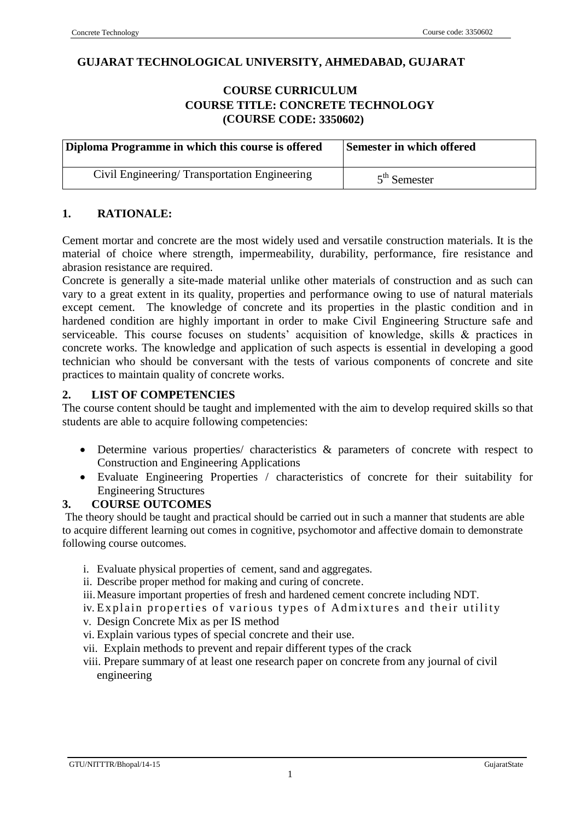## **GU GUJARAT TECHNOLOGICAL UNIVERSITY, AHMEDABAD, GUJARAT**

## **C COURSE CURRICULUM COURSE TITLE: CONCRETE TECHNOLOGY (COURSE CODE: 3350602)**

| Diploma Programme in which this course is offered | <b>Semester in which offered</b> |
|---------------------------------------------------|----------------------------------|
| Civil Engineering/Transportation Engineering      | $5th$ Semester                   |

## **1. RATIONALE:**

Cement mortar and concrete are the most widely used and versatile construction materials. It is the material of choice where strength, impermeability, durability, performance, fire resistance and abrasion resistance are required.

Concrete is generally a site-made material unlike other materials of construction and as such can vary to a great extent in its quality, properties and performance owing to use of natural materials except cement. The knowledge of concrete and its properties in the plastic condition and in hardened condition are highly important in order to make Civil Engineering Structure safe and serviceable. This course focuses on students' acquisition of knowledge, skills & practices in concrete works. The knowledge and application of such aspects is essential in developing a good technician who should be conversant with the tests of various components of concrete and site practices to maintain quality of concrete works.

## **2. LIST OF COMPETENCIES**

The course content should be taught and implemented with the aim to develop required skills so that students are able to acquire following competencies:

- Determine various properties/ characteristics & parameters of concrete with respect to Construction and Engineering Applications
- Evaluate Engineering Properties / characteristics of concrete for their suitability for Engineering Structures

## **3. COURSE OUTCOMES**

The theory should be taught and practical should be carried out in such a manner that students are able to acquire different learning out comes in cognitive, psychomotor and affective domain to demonstrate following course outcomes.

- i. Evaluate physical properties of cement, sand and aggregates.
- ii. Describe proper method for making and curing of concrete.
- iii.Measure important properties of fresh and hardened cement concrete including NDT.
- iv. Explain properties of various types of Admixtures and their utility
- v. Design Concrete Mix as per IS method
- vi. Explain various types of special concrete and their use.
- vii. Explain methods to prevent and repair different types of the crack
- viii. Prepare summary of at least one research paper on concrete from any journal of civil engineering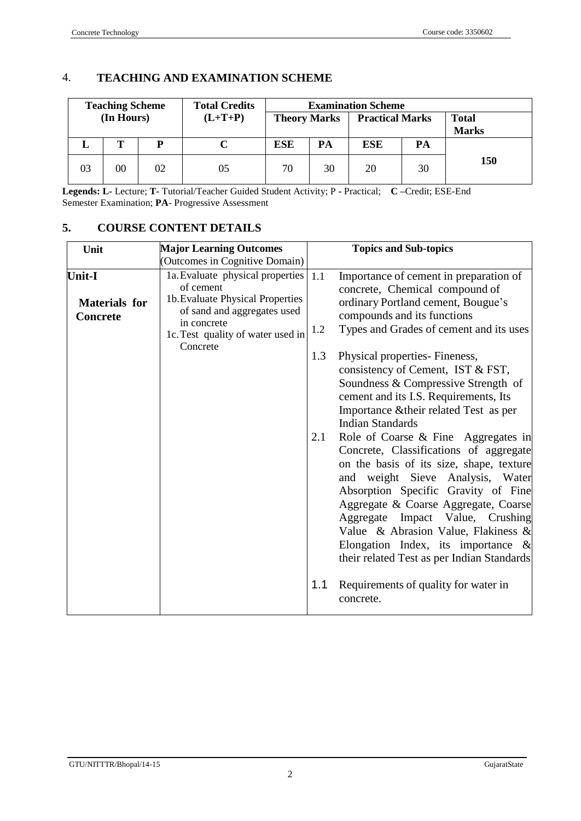## 4. **TEACHING AND EXAMINATION SCHEME**

|                              | <b>Examination Scheme</b> |                        |                     | <b>Total Credits</b> |    | <b>Teaching Scheme</b> |           |    |            |  |
|------------------------------|---------------------------|------------------------|---------------------|----------------------|----|------------------------|-----------|----|------------|--|
| <b>Total</b><br><b>Marks</b> |                           | <b>Practical Marks</b> | <b>Theory Marks</b> |                      |    |                        | $(L+T+P)$ |    | (In Hours) |  |
|                              | PA                        | ESE                    | PA                  | ESE                  |    |                        |           |    |            |  |
| 150                          | 30                        | 20                     | 30                  | 70                   | 05 | 02                     | $00\,$    | 03 |            |  |

**Legends: L-** Lecture; **T-** Tutorial/Teacher Guided Student Activity; P **-** Practical; **C –**Credit; ESE-End Semester Examination; **PA**- Progressive Assessment

## **5. COURSE CONTENT DETAILS**

| Unit                                                     | <b>Major Learning Outcomes</b>                                                                                                                                                   |            | <b>Topics and Sub-topics</b>                                                                                                                                                                                                                                                                                                                                                                                                                                                                                                                                                                                                               |
|----------------------------------------------------------|----------------------------------------------------------------------------------------------------------------------------------------------------------------------------------|------------|--------------------------------------------------------------------------------------------------------------------------------------------------------------------------------------------------------------------------------------------------------------------------------------------------------------------------------------------------------------------------------------------------------------------------------------------------------------------------------------------------------------------------------------------------------------------------------------------------------------------------------------------|
|                                                          | (Outcomes in Cognitive Domain)                                                                                                                                                   |            |                                                                                                                                                                                                                                                                                                                                                                                                                                                                                                                                                                                                                                            |
| <b>Unit-I</b><br><b>Materials</b> for<br><b>Concrete</b> | 1a. Evaluate physical properties<br>of cement<br>1b. Evaluate Physical Properties<br>of sand and aggregates used<br>in concrete<br>1c. Test quality of water used in<br>Concrete | 1.1<br>1.2 | Importance of cement in preparation of<br>concrete, Chemical compound of<br>ordinary Portland cement, Bougue's<br>compounds and its functions<br>Types and Grades of cement and its uses                                                                                                                                                                                                                                                                                                                                                                                                                                                   |
|                                                          |                                                                                                                                                                                  | 1.3<br>2.1 | Physical properties- Fineness,<br>consistency of Cement, IST & FST,<br>Soundness & Compressive Strength of<br>cement and its I.S. Requirements, Its<br>Importance & their related Test as per<br><b>Indian Standards</b><br>Role of Coarse & Fine Aggregates in<br>Concrete, Classifications of aggregate<br>on the basis of its size, shape, texture<br>and weight Sieve Analysis, Water<br>Absorption Specific Gravity of Fine<br>Aggregate & Coarse Aggregate, Coarse<br>Aggregate Impact Value, Crushing<br>Value & Abrasion Value, Flakiness &<br>Elongation Index, its importance $\&$<br>their related Test as per Indian Standards |
|                                                          |                                                                                                                                                                                  | 1.1        | Requirements of quality for water in<br>concrete.                                                                                                                                                                                                                                                                                                                                                                                                                                                                                                                                                                                          |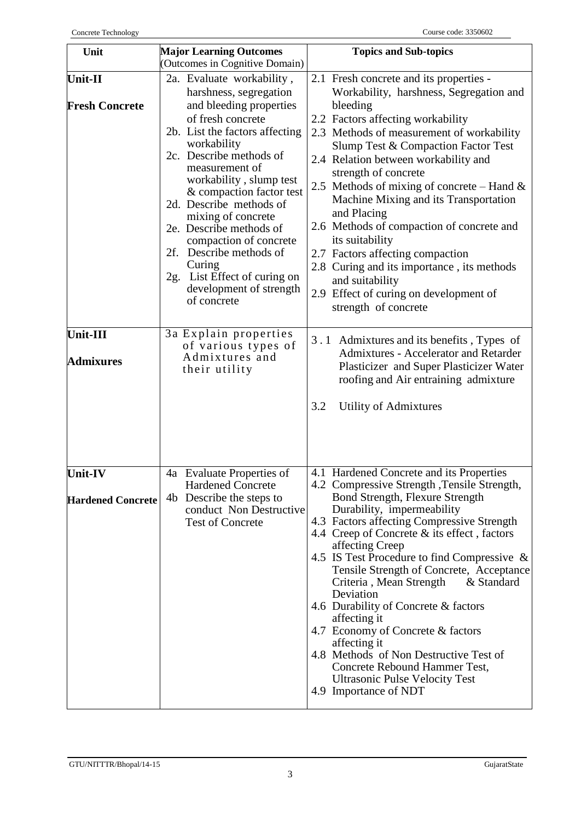| Unit                                       | <b>Major Learning Outcomes</b>                                                                                                                                                                                                                                                                                                                                                                                                                                                | <b>Topics and Sub-topics</b>                                                                                                                                                                                                                                                                                                                                                                                                                                                                                                                                                                                                                                                                  |
|--------------------------------------------|-------------------------------------------------------------------------------------------------------------------------------------------------------------------------------------------------------------------------------------------------------------------------------------------------------------------------------------------------------------------------------------------------------------------------------------------------------------------------------|-----------------------------------------------------------------------------------------------------------------------------------------------------------------------------------------------------------------------------------------------------------------------------------------------------------------------------------------------------------------------------------------------------------------------------------------------------------------------------------------------------------------------------------------------------------------------------------------------------------------------------------------------------------------------------------------------|
|                                            | (Outcomes in Cognitive Domain)                                                                                                                                                                                                                                                                                                                                                                                                                                                |                                                                                                                                                                                                                                                                                                                                                                                                                                                                                                                                                                                                                                                                                               |
| <b>Unit-II</b><br><b>Fresh Concrete</b>    | 2a. Evaluate workability,<br>harshness, segregation<br>and bleeding properties<br>of fresh concrete<br>2b. List the factors affecting<br>workability<br>2c. Describe methods of<br>measurement of<br>workability, slump test<br>& compaction factor test<br>2d. Describe methods of<br>mixing of concrete<br>2e. Describe methods of<br>compaction of concrete<br>2f. Describe methods of<br>Curing<br>2g. List Effect of curing on<br>development of strength<br>of concrete | 2.1 Fresh concrete and its properties -<br>Workability, harshness, Segregation and<br>bleeding<br>2.2 Factors affecting workability<br>2.3 Methods of measurement of workability<br>Slump Test & Compaction Factor Test<br>2.4 Relation between workability and<br>strength of concrete<br>2.5 Methods of mixing of concrete – Hand $\&$<br>Machine Mixing and its Transportation<br>and Placing<br>2.6 Methods of compaction of concrete and<br>its suitability<br>2.7 Factors affecting compaction<br>2.8 Curing and its importance, its methods<br>and suitability<br>2.9 Effect of curing on development of<br>strength of concrete                                                       |
| Unit-III<br><b>Admixures</b>               | 3a Explain properties<br>of various types of<br>Admixtures and<br>their utility                                                                                                                                                                                                                                                                                                                                                                                               | 3.1 Admixtures and its benefits, Types of<br>Admixtures - Accelerator and Retarder<br>Plasticizer and Super Plasticizer Water<br>roofing and Air entraining admixture<br>3.2<br>Utility of Admixtures                                                                                                                                                                                                                                                                                                                                                                                                                                                                                         |
| <b>Unit-IV</b><br><b>Hardened Concrete</b> | 4a Evaluate Properties of<br><b>Hardened Concrete</b><br>Describe the steps to<br>4b<br>conduct Non Destructive<br><b>Test of Concrete</b>                                                                                                                                                                                                                                                                                                                                    | 4.1 Hardened Concrete and its Properties<br>4.2 Compressive Strength, Tensile Strength,<br><b>Bond Strength, Flexure Strength</b><br>Durability, impermeability<br>4.3 Factors affecting Compressive Strength<br>4.4 Creep of Concrete & its effect, factors<br>affecting Creep<br>4.5 IS Test Procedure to find Compressive $\&$<br>Tensile Strength of Concrete, Acceptance<br>& Standard<br>Criteria, Mean Strength<br>Deviation<br>4.6 Durability of Concrete & factors<br>affecting it<br>4.7 Economy of Concrete & factors<br>affecting it<br>4.8 Methods of Non Destructive Test of<br>Concrete Rebound Hammer Test,<br><b>Ultrasonic Pulse Velocity Test</b><br>4.9 Importance of NDT |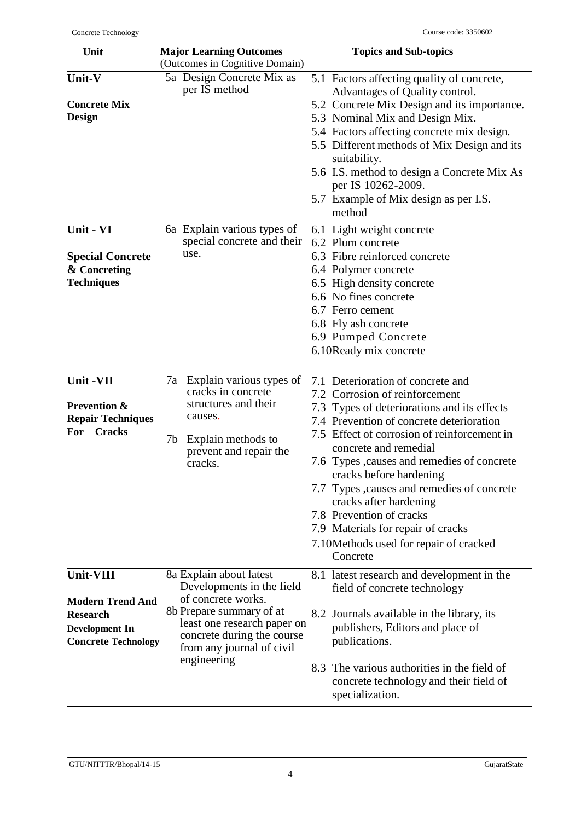| Unit                                                | <b>Major Learning Outcomes</b>                            | <b>Topics and Sub-topics</b>                                                                             |
|-----------------------------------------------------|-----------------------------------------------------------|----------------------------------------------------------------------------------------------------------|
|                                                     | (Outcomes in Cognitive Domain)                            |                                                                                                          |
| Unit-V                                              | 5a Design Concrete Mix as<br>per IS method                | 5.1 Factors affecting quality of concrete,<br>Advantages of Quality control.                             |
| <b>Concrete Mix</b>                                 |                                                           | 5.2 Concrete Mix Design and its importance.                                                              |
| <b>Design</b>                                       |                                                           | 5.3 Nominal Mix and Design Mix.                                                                          |
|                                                     |                                                           | 5.4 Factors affecting concrete mix design.                                                               |
|                                                     |                                                           | 5.5 Different methods of Mix Design and its<br>suitability.                                              |
|                                                     |                                                           | 5.6 I.S. method to design a Concrete Mix As<br>per IS 10262-2009.                                        |
|                                                     |                                                           | 5.7 Example of Mix design as per I.S.<br>method                                                          |
|                                                     |                                                           |                                                                                                          |
| Unit - VI                                           | 6a Explain various types of                               | 6.1 Light weight concrete                                                                                |
|                                                     | special concrete and their                                | 6.2 Plum concrete                                                                                        |
| <b>Special Concrete</b>                             | use.                                                      | 6.3 Fibre reinforced concrete                                                                            |
| & Concreting                                        |                                                           | 6.4 Polymer concrete                                                                                     |
| <b>Techniques</b>                                   |                                                           | 6.5 High density concrete                                                                                |
|                                                     |                                                           | 6.6 No fines concrete                                                                                    |
|                                                     |                                                           | 6.7 Ferro cement                                                                                         |
|                                                     |                                                           | 6.8 Fly ash concrete                                                                                     |
|                                                     |                                                           | 6.9 Pumped Concrete                                                                                      |
|                                                     |                                                           | 6.10Ready mix concrete                                                                                   |
|                                                     |                                                           |                                                                                                          |
| Unit -VII                                           | 7a Explain various types of<br>cracks in concrete         | 7.1 Deterioration of concrete and                                                                        |
|                                                     | structures and their                                      | 7.2 Corrosion of reinforcement                                                                           |
| <b>Prevention &amp;</b><br><b>Repair Techniques</b> | causes.                                                   | 7.3 Types of deteriorations and its effects                                                              |
| <b>Cracks</b><br>For                                |                                                           | 7.4 Prevention of concrete deterioration                                                                 |
|                                                     | 7b Explain methods to<br>prevent and repair the           | 7.5 Effect of corrosion of reinforcement in<br>concrete and remedial                                     |
|                                                     | cracks.                                                   | 7.6 Types , causes and remedies of concrete<br>cracks before hardening                                   |
|                                                     |                                                           | 7.7 Types, causes and remedies of concrete<br>cracks after hardening                                     |
|                                                     |                                                           | 7.8 Prevention of cracks                                                                                 |
|                                                     |                                                           | 7.9 Materials for repair of cracks                                                                       |
|                                                     |                                                           | 7.10 Methods used for repair of cracked                                                                  |
|                                                     |                                                           | Concrete                                                                                                 |
| <b>Unit-VIII</b>                                    | 8a Explain about latest                                   | 8.1 latest research and development in the                                                               |
|                                                     | Developments in the field                                 | field of concrete technology                                                                             |
| <b>Modern Trend And</b>                             | of concrete works.                                        |                                                                                                          |
| <b>Research</b>                                     | 8b Prepare summary of at                                  | 8.2 Journals available in the library, its                                                               |
| <b>Development In</b>                               | least one research paper on<br>concrete during the course | publishers, Editors and place of                                                                         |
| <b>Concrete Technology</b>                          | from any journal of civil                                 | publications.                                                                                            |
|                                                     | engineering                                               |                                                                                                          |
|                                                     |                                                           | 8.3 The various authorities in the field of<br>concrete technology and their field of<br>specialization. |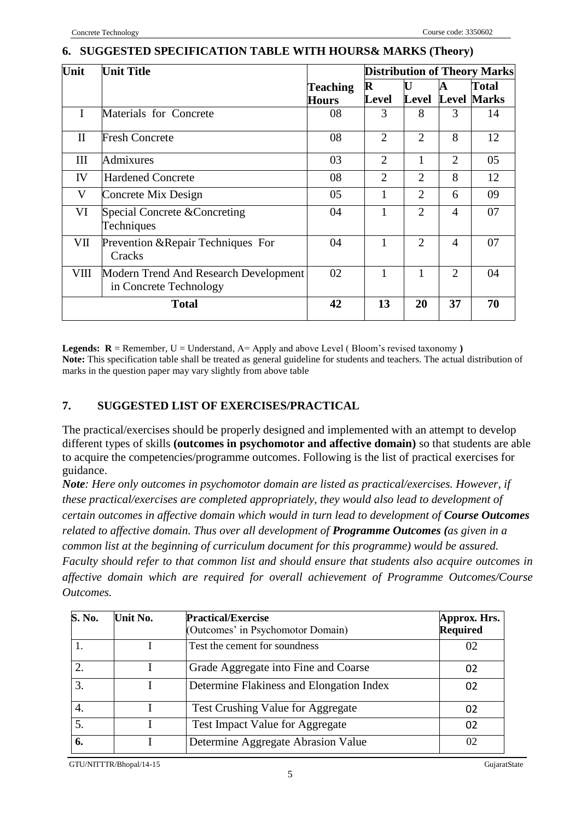#### **6. SUGGESTED SPECIFICATION TABLE WITH HOURS& MARKS (Theory)**

| Unit         | <b>Unit Title</b>                                               |                 |                |                |                | <b>Distribution of Theory Marks</b> |
|--------------|-----------------------------------------------------------------|-----------------|----------------|----------------|----------------|-------------------------------------|
|              |                                                                 | <b>Teaching</b> | $\mathbf R$    | U              | A              | Total                               |
|              |                                                                 | <b>Hours</b>    | Level          | Level          |                | <b>Level Marks</b>                  |
| I            | Materials for Concrete                                          | 08              | 3              | 8              | 3              | 14                                  |
| $\mathbf{I}$ | <b>Fresh Concrete</b>                                           | 08              | $\overline{2}$ | $\overline{2}$ | 8              | 12                                  |
| Ш            | Admixures                                                       | 03              | $\overline{2}$ |                | 2              | 05                                  |
| IV           | <b>Hardened Concrete</b>                                        | 08              | 2              | 2              | 8              | 12                                  |
| V            | Concrete Mix Design                                             | 05              |                | $\overline{2}$ | 6              | 09                                  |
| VI           | Special Concrete & Concreting<br>Techniques                     | 04              |                | $\overline{2}$ | $\overline{4}$ | 07                                  |
| VII          | Prevention & Repair Techniques For<br>Cracks                    | 04              |                | $\overline{2}$ | $\overline{4}$ | 07                                  |
| VШ           | Modern Trend And Research Development<br>in Concrete Technology | 02              |                |                | $\overline{2}$ | 04                                  |
|              | <b>Total</b>                                                    | 42              | 13             | 20             | 37             | 70                                  |

**Legends:**  $R =$  Remember,  $U =$  Understand,  $A =$  Apply and above Level (Bloom's revised taxonomy) **Note:** This specification table shall be treated as general guideline for students and teachers. The actual distribution of marks in the question paper may vary slightly from above table

## **7. SUGGESTED LIST OF EXERCISES/PRACTICAL**

The practical/exercises should be properly designed and implemented with an attempt to develop different types of skills **(outcomes in psychomotor and affective domain)** so that students are able to acquire the competencies/programme outcomes. Following is the list of practical exercises for guidance.

*Note: Here only outcomes in psychomotor domain are listed as practical/exercises. However, if these practical/exercises are completed appropriately, they would also lead to development of certain outcomes in affective domain which would in turn lead to development of Course Outcomes related to affective domain. Thus over all development of Programme Outcomes (as given in a common list at the beginning of curriculum document for this programme) would be assured. Faculty should refer to that common list and should ensure that students also acquire outcomes in affective domain which are required for overall achievement of Programme Outcomes/Course Outcomes.*

| S. No.         | Unit No. | <b>Practical/Exercise</b><br>(Outcomes' in Psychomotor Domain) | Approx. Hrs.<br><b>Required</b> |
|----------------|----------|----------------------------------------------------------------|---------------------------------|
|                |          | Test the cement for soundness                                  | 02                              |
| $\overline{2}$ |          | Grade Aggregate into Fine and Coarse                           | 02                              |
| 3.             |          | Determine Flakiness and Elongation Index                       | 02                              |
| 4.             |          | Test Crushing Value for Aggregate                              | 02                              |
|                |          | Test Impact Value for Aggregate                                |                                 |
| 6.             |          | Determine Aggregate Abrasion Value                             | 02                              |

GTU/NITTTR/Bhopal/14-15 GujaratState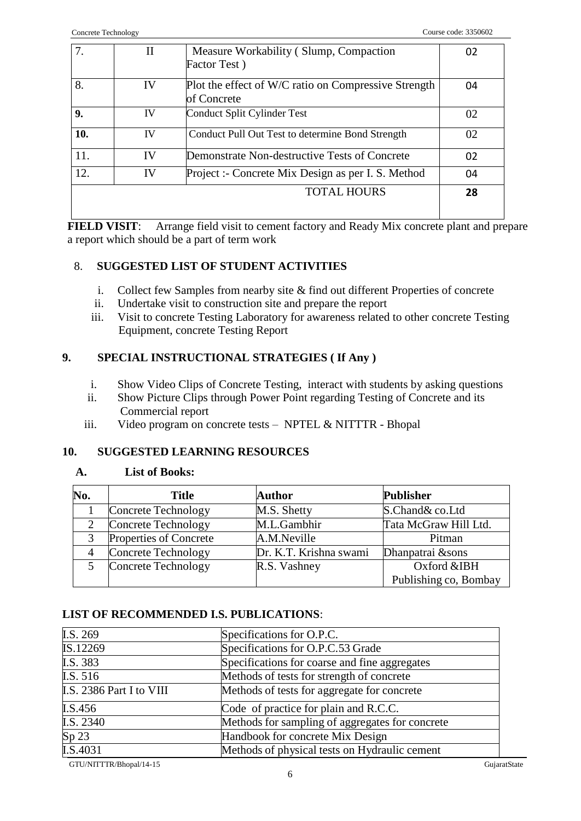|     | П  | Measure Workability (Slump, Compaction                              | 02 |
|-----|----|---------------------------------------------------------------------|----|
|     |    | Factor Test)                                                        |    |
| 8.  | IV | Plot the effect of W/C ratio on Compressive Strength<br>of Concrete | 04 |
| 9.  | IV | Conduct Split Cylinder Test                                         | 02 |
| 10. | IV | Conduct Pull Out Test to determine Bond Strength                    | 02 |
| 11. | IV | Demonstrate Non-destructive Tests of Concrete                       | 02 |
| 12. | IV | Project :- Concrete Mix Design as per I. S. Method                  | 04 |
|     |    | <b>TOTAL HOURS</b>                                                  | 28 |

**FIELD VISIT**: Arrange field visit to cement factory and Ready Mix concrete plant and prepare a report which should be a part of term work

## 8. **SUGGESTED LIST OF STUDENT ACTIVITIES**

- i. Collect few Samples from nearby site & find out different Properties of concrete
- ii. Undertake visit to construction site and prepare the report
- iii. Visit to concrete Testing Laboratory for awareness related to other concrete Testing Equipment, concrete Testing Report

## **9. SPECIAL INSTRUCTIONAL STRATEGIES ( If Any )**

- i. Show Video Clips of Concrete Testing, interact with students by asking questions
- ii. Show Picture Clips through Power Point regarding Testing of Concrete and its Commercial report
- iii. Video program on concrete tests NPTEL & NITTTR Bhopal

## **10. SUGGESTED LEARNING RESOURCES**

## **A. List of Books:**

| No. | <b>Title</b>           | <b>Author</b>          | <b>Publisher</b>      |
|-----|------------------------|------------------------|-----------------------|
|     | Concrete Technology    | M.S. Shetty            | S.Chand& co.Ltd       |
|     | Concrete Technology    | M.L.Gambhir            | Tata McGraw Hill Ltd. |
| 3   | Properties of Concrete | A.M.Neville            | Pitman                |
|     | Concrete Technology    | Dr. K.T. Krishna swami | Dhanpatrai &sons      |
|     | Concrete Technology    | R.S. Vashney           | Oxford &IBH           |
|     |                        |                        | Publishing co, Bombay |

## **LIST OF RECOMMENDED I.S. PUBLICATIONS**:

| I.S. 269                 | Specifications for O.P.C.                       |              |
|--------------------------|-------------------------------------------------|--------------|
| IS.12269                 | Specifications for O.P.C.53 Grade               |              |
| I.S. 383                 | Specifications for coarse and fine aggregates   |              |
| I.S. 516                 | Methods of tests for strength of concrete       |              |
| I.S. 2386 Part I to VIII | Methods of tests for aggregate for concrete     |              |
| I.S.456                  | Code of practice for plain and R.C.C.           |              |
| I.S. 2340                | Methods for sampling of aggregates for concrete |              |
| Sp <sub>23</sub>         | Handbook for concrete Mix Design                |              |
| I.S.4031                 | Methods of physical tests on Hydraulic cement   |              |
| GTU/NITTTR/Bhopal/14-15  |                                                 | GujaratState |